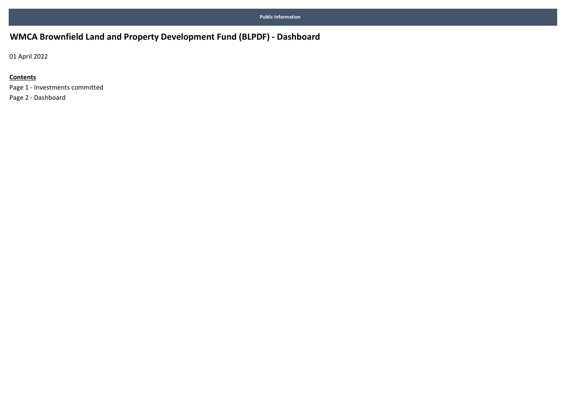## WMCA Brownfield Land and Property Development Fund (BLPDF) - Dashboard

01 April 2022

### **Contents**

Page 1 - Investments committed Page 2 - Dashboard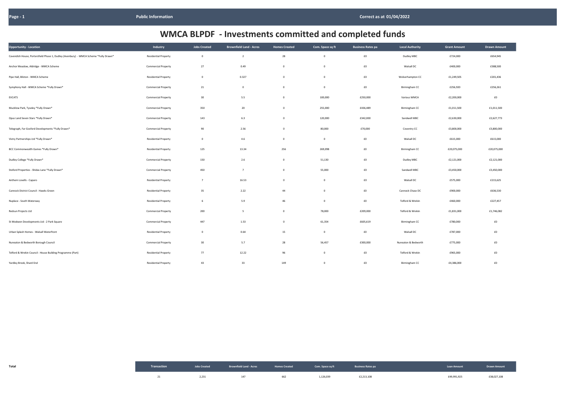| <b>Opportunity - Location</b>                                                        | Industry                    | <b>Jobs Created</b> | <b>Brownfield Land - Acres</b> | <b>Homes Created</b> | Com. Space sq ft | <b>Business Rates pa</b> | <b>Local Authority</b> | <b>Grant Amount</b> | <b>Drawn Amount</b> |
|--------------------------------------------------------------------------------------|-----------------------------|---------------------|--------------------------------|----------------------|------------------|--------------------------|------------------------|---------------------|---------------------|
| Cavendish House, Portersfield Phase 1, Dudley (Avenbury) - WMCA Scheme *Fully Drawn* | <b>Residential Property</b> | $\mathbf 0$         | $\overline{2}$                 | 28                   | $\mathbf 0$      | $\pmb{\text{f0}}$        | Dudley MBC             | £724,000            | £654,945            |
| Anchor Meadow, Aldridge - WMCA Scheme                                                | <b>Commercial Property</b>  | 27                  | 0.49                           | $\mathbf 0$          | $\mathbf 0$      | $\pmb{\text{f0}}$        | Walsall DC             | £400,000            | £388,500            |
| Pipe Hall, Bilston - WMCA Scheme                                                     | <b>Residential Property</b> | $\mathbf 0$         | 0.327                          | $\mathbf{0}$         | $\mathbf 0$      | $\pmb{\text{f0}}$        | Wolverhampton CC       | £1,249,505          | £201,436            |
| Symphony Hall - WMCA Scheme *Fully Drawn*                                            | <b>Commercial Property</b>  | 21                  | $\mathbf 0$                    | $\mathbf 0$          | $\mathbf 0$      | $\pmb{\text{f0}}$        | Birmingham CC          | £256,920            | £256,261            |
| <b>EVCATS</b>                                                                        | <b>Commercial Property</b>  | 30                  | 5.5                            | $\mathbf 0$          | 100,000          | £250,000                 | Various WMCA           | £2,200,000          | $\pmb{\text{f0}}$   |
| Mucklow Park, Tyseley *Fully Drawn*                                                  | <b>Commercial Property</b>  | 350                 | 20                             | $\mathbf{0}$         | 255,000          | £436,489                 | Birmingham CC          | £1,011,500          | £1,011,500          |
| Opus Land Seven Stars *Fully Drawn*                                                  | <b>Commercial Property</b>  | 143                 | 6.3                            | $\mathbf{0}$         | 120,000          | £342,000                 | Sandwell MBC           | £2,630,000          | £2,627,773          |
| Telegraph, Far Gosford Developments *Fully Drawn*                                    | <b>Commercial Property</b>  | 90                  | 2.56                           | $\mathbf{0}$         | 80,000           | £70,000                  | Coventry CC            | £3,800,000          | £3,800,000          |
| Vistry Partnerships Ltd *Fully Drawn*                                                | <b>Residential Property</b> | $\mathbf 0$         | 4.6                            | $\mathbf 0$          | $\mathbf 0$      | $\pmb{\text{f0}}$        | Walsall DC             | £615,000            | £615,000            |
| BCC Commonwealth Games *Fully Drawn*                                                 | <b>Residential Property</b> | 125                 | 13.34                          | 256                  | 269,098          | $\pmb{\text{f0}}$        | Birmingham CC          | £20,075,000         | £20,075,000         |
| Dudley College *Fully Drawn*                                                         | <b>Commercial Property</b>  | 150                 | 2.6                            | $\mathbf 0$          | 51,130           | $\pmb{\text{f0}}$        | Dudley MBC             | £2,121,000          | £2,121,000          |
| Stoford Properties - Shidas Lane *Fully Drawn*                                       | <b>Commercial Property</b>  | 450                 | $\overline{7}$                 | $\mathbf{0}$         | 55,000           | $\pmb{\text{f0}}$        | Sandwell MBC           | £3,450,000          | £3,450,000          |
| Anthem Lovells - Caparo                                                              | <b>Residential Property</b> | $7\overline{ }$     | 16.53                          | $\mathbf{0}$         | $\mathbf 0$      | $\pmb{\text{f0}}$        | Walsall DC             | £575,000            | £215,625            |
| Cannock District Council - Hawks Green                                               | <b>Residential Property</b> | 35                  | 2.22                           | 44                   | $\mathbf 0$      | $\pmb{\text{f0}}$        | Cannock Chase DC       | £900,000            | £636,530            |
| Nuplace - South Waterway                                                             | <b>Residential Property</b> | 6                   | 5.9                            | 46                   | $\mathbf 0$      | $\pmb{\text{f0}}$        | Telford & Wrekin       | £460,000            | £227,457            |
| Redsun Projects Ltd                                                                  | <b>Commercial Property</b>  | 200                 | $5\overline{5}$                | $\mathbf{0}$         | 78,000           | £209,000                 | Telford & Wrekin       | £1,831,000          | £1,746,082          |
| St Modwen Developments Ltd - 2 Park Square                                           | <b>Commercial Property</b>  | 447                 | 1.53                           | $\mathbf{0}$         | 61,354           | £605,619                 | Birmingham CC          | £780,000            | $\pmb{\text{f0}}$   |
| Urban Splash Homes - Walsall Waterfront                                              | <b>Residential Property</b> | $\mathbf 0$         | 0.64                           | 15                   | $\mathbf 0$      | £0                       | Walsall DC             | £787,000            | $\pmb{\text{f0}}$   |
| Nuneaton & Bedworth Borough Council                                                  | <b>Commercial Property</b>  | 30                  | 5.7                            | 28                   | 56,457           | £300,000                 | Nuneaton & Bedworth    | £775,000            | £0                  |
| Telford & Wrekin Council - House Building Programme (Part)                           | <b>Residential Property</b> | 77                  | 12.22                          | 96                   | $\overline{0}$   | £0                       | Telford & Wrekin       | £965,000            | £0                  |
| Yardley Brook, Shard End                                                             | <b>Residential Property</b> | 43                  | 33                             | 149                  | $\overline{0}$   | $\pmb{\text{f0}}$        | Birmingham CC          | £4,386,000          | £0                  |

| Total |       | Transaction <b>Solution Constant Constant Constant Constant Constant Constant Constant Constant Constant Constant Constant Constant Constant Constant Constant Constant Constant Constant Constant Constant Constant Constant Co</b> |     |           |            | Loan Amount <b>Example 10 Dealer 10 Prawn Amount</b> |             |
|-------|-------|--------------------------------------------------------------------------------------------------------------------------------------------------------------------------------------------------------------------------------------|-----|-----------|------------|------------------------------------------------------|-------------|
|       | 2,231 | 147                                                                                                                                                                                                                                  | 662 | 1,126,039 | £2,213,108 | £49,991,925                                          | £38,027,108 |

| <b>Grant Amount</b> | <b>Drawn Amount</b> |  |  |  |
|---------------------|---------------------|--|--|--|
| £724,000            | £654,945            |  |  |  |
| £400,000            | £388,500            |  |  |  |
| £1,249,505          | £201,436            |  |  |  |
| £256,920            | £256,261            |  |  |  |
| £2,200,000          | £0                  |  |  |  |
| £1,011,500          | £1,011,500          |  |  |  |
| £2,630,000          | £2,627,773          |  |  |  |
| £3,800,000          | £3,800,000          |  |  |  |
| £615,000            | £615,000            |  |  |  |
| £20,075,000         | £20,075,000         |  |  |  |
| £2,121,000          | £2,121,000          |  |  |  |
| £3,450,000          | £3,450,000          |  |  |  |
| £575,000            | £215,625            |  |  |  |
| £900,000            | £636,530            |  |  |  |
| £460,000            | £227,457            |  |  |  |
| £1,831,000          | £1,746,082          |  |  |  |
| £780,000            | £0                  |  |  |  |
| £787,000            | £0                  |  |  |  |
| £775,000            | £0                  |  |  |  |
| £965,000            | £0                  |  |  |  |
| £4,386,000          | £0                  |  |  |  |

# WMCA BLPDF - Investments committed and completed funds